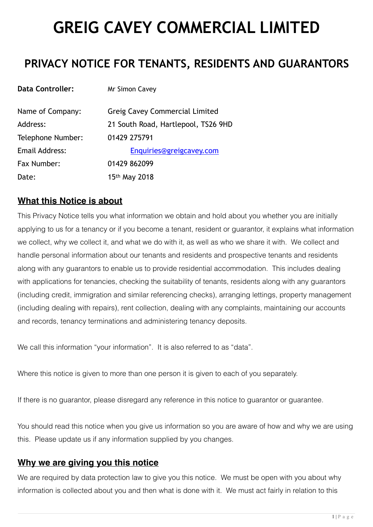# **GREIG CAVEY COMMERCIAL LIMITED**

## **PRIVACY NOTICE FOR TENANTS, RESIDENTS AND GUARANTORS**

| <b>Data Controller:</b> | Mr Simon Cavey                      |
|-------------------------|-------------------------------------|
| Name of Company:        | Greig Cavey Commercial Limited      |
| Address:                | 21 South Road, Hartlepool, TS26 9HD |
| Telephone Number:       | 01429 275791                        |
| Email Address:          | Enquiries@greigcavey.com            |
| Fax Number:             | 01429 862099                        |
| Date:                   | 15 <sup>th</sup> May 2018           |

## **What this Notice is about**

This Privacy Notice tells you what information we obtain and hold about you whether you are initially applying to us for a tenancy or if you become a tenant, resident or guarantor, it explains what information we collect, why we collect it, and what we do with it, as well as who we share it with. We collect and handle personal information about our tenants and residents and prospective tenants and residents along with any guarantors to enable us to provide residential accommodation. This includes dealing with applications for tenancies, checking the suitability of tenants, residents along with any guarantors (including credit, immigration and similar referencing checks), arranging lettings, property management (including dealing with repairs), rent collection, dealing with any complaints, maintaining our accounts and records, tenancy terminations and administering tenancy deposits.

We call this information "your information". It is also referred to as "data".

Where this notice is given to more than one person it is given to each of you separately.

If there is no guarantor, please disregard any reference in this notice to guarantor or guarantee.

You should read this notice when you give us information so you are aware of how and why we are using this. Please update us if any information supplied by you changes.

## **Why we are giving you this notice**

We are required by data protection law to give you this notice. We must be open with you about why information is collected about you and then what is done with it. We must act fairly in relation to this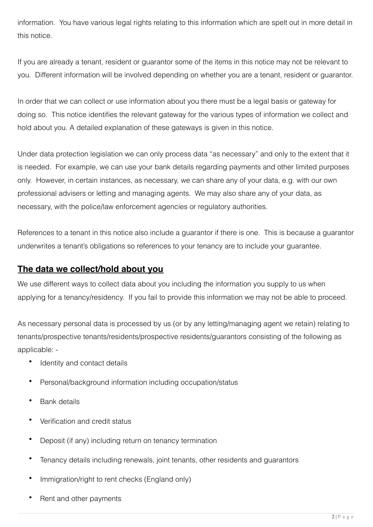information. You have various legal rights relating to this information which are spelt out in more detail in this notice.

If you are already a tenant, resident or guarantor some of the items in this notice may not be relevant to you. Different information will be involved depending on whether you are a tenant, resident or guarantor.

In order that we can collect or use information about you there must be a legal basis or gateway for doing so. This notice identifies the relevant gateway for the various types of information we collect and hold about you. A detailed explanation of these gateways is given in this notice.

Under data protection legislation we can only process data "as necessary" and only to the extent that it is needed. For example, we can use your bank details regarding payments and other limited purposes only. However, in certain instances, as necessary, we can share any of your data, e.g. with our own professional advisers or letting and managing agents. We may also share any of your data, as necessary, with the police/law enforcement agencies or regulatory authorities.

References to a tenant in this notice also include a guarantor if there is one. This is because a guarantor underwrites a tenant's obligations so references to your tenancy are to include your guarantee.

## **The data we collect/hold about you**

We use different ways to collect data about you including the information you supply to us when applying for a tenancy/residency. If you fail to provide this information we may not be able to proceed.

As necessary personal data is processed by us (or by any letting/managing agent we retain) relating to tenants/prospective tenants/residents/prospective residents/guarantors consisting of the following as applicable: -

- Identity and contact details
- Personal/background information including occupation/status
- Bank details
- Verification and credit status
- Deposit (if any) including return on tenancy termination
- Tenancy details including renewals, joint tenants, other residents and guarantors
- Immigration/right to rent checks (England only)
- Rent and other payments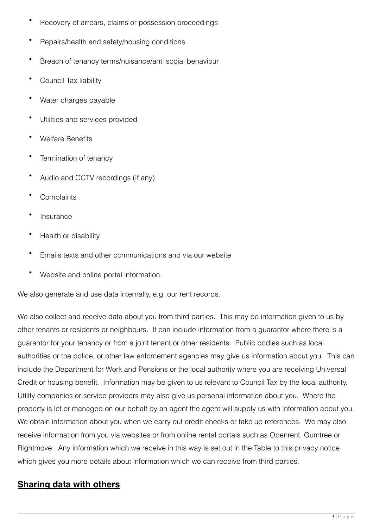- Recovery of arrears, claims or possession proceedings
- Repairs/health and safety/housing conditions
- Breach of tenancy terms/nuisance/anti social behaviour
- Council Tax liability
- Water charges payable
- Utilities and services provided
- Welfare Benefits
- Termination of tenancy
- Audio and CCTV recordings (if any)
- **Complaints**
- Insurance
- Health or disability
- Emails texts and other communications and via our website
- Website and online portal information.

We also generate and use data internally, e.g. our rent records.

We also collect and receive data about you from third parties. This may be information given to us by other tenants or residents or neighbours. It can include information from a guarantor where there is a guarantor for your tenancy or from a joint tenant or other residents. Public bodies such as local authorities or the police, or other law enforcement agencies may give us information about you. This can include the Department for Work and Pensions or the local authority where you are receiving Universal Credit or housing benefit. Information may be given to us relevant to Council Tax by the local authority. Utility companies or service providers may also give us personal information about you. Where the property is let or managed on our behalf by an agent the agent will supply us with information about you. We obtain information about you when we carry out credit checks or take up references. We may also receive information from you via websites or from online rental portals such as Openrent, Gumtree or Rightmove. Any information which we receive in this way is set out in the Table to this privacy notice which gives you more details about information which we can receive from third parties.

## **Sharing data with others**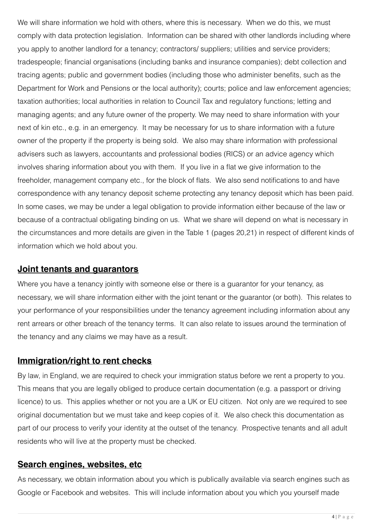We will share information we hold with others, where this is necessary. When we do this, we must comply with data protection legislation. Information can be shared with other landlords including where you apply to another landlord for a tenancy; contractors/ suppliers; utilities and service providers; tradespeople; financial organisations (including banks and insurance companies); debt collection and tracing agents; public and government bodies (including those who administer benefits, such as the Department for Work and Pensions or the local authority); courts; police and law enforcement agencies; taxation authorities; local authorities in relation to Council Tax and regulatory functions; letting and managing agents; and any future owner of the property. We may need to share information with your next of kin etc., e.g. in an emergency. It may be necessary for us to share information with a future owner of the property if the property is being sold. We also may share information with professional advisers such as lawyers, accountants and professional bodies (RICS) or an advice agency which involves sharing information about you with them. If you live in a flat we give information to the freeholder, management company etc., for the block of flats. We also send notifications to and have correspondence with any tenancy deposit scheme protecting any tenancy deposit which has been paid. In some cases, we may be under a legal obligation to provide information either because of the law or because of a contractual obligating binding on us. What we share will depend on what is necessary in the circumstances and more details are given in the Table 1 (pages 20,21) in respect of different kinds of information which we hold about you.

#### **Joint tenants and guarantors**

Where you have a tenancy jointly with someone else or there is a quarantor for your tenancy, as necessary, we will share information either with the joint tenant or the guarantor (or both). This relates to your performance of your responsibilities under the tenancy agreement including information about any rent arrears or other breach of the tenancy terms. It can also relate to issues around the termination of the tenancy and any claims we may have as a result.

## **Immigration/right to rent checks**

By law, in England, we are required to check your immigration status before we rent a property to you. This means that you are legally obliged to produce certain documentation (e.g. a passport or driving licence) to us. This applies whether or not you are a UK or EU citizen. Not only are we required to see original documentation but we must take and keep copies of it. We also check this documentation as part of our process to verify your identity at the outset of the tenancy. Prospective tenants and all adult residents who will live at the property must be checked.

#### **Search engines, websites, etc**

As necessary, we obtain information about you which is publically available via search engines such as Google or Facebook and websites. This will include information about you which you yourself made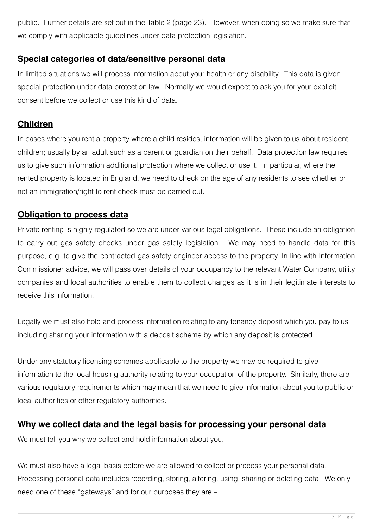public. Further details are set out in the Table 2 (page 23). However, when doing so we make sure that we comply with applicable guidelines under data protection legislation.

## **Special categories of data/sensitive personal data**

In limited situations we will process information about your health or any disability. This data is given special protection under data protection law. Normally we would expect to ask you for your explicit consent before we collect or use this kind of data.

## **Children**

In cases where you rent a property where a child resides, information will be given to us about resident children; usually by an adult such as a parent or guardian on their behalf. Data protection law requires us to give such information additional protection where we collect or use it. In particular, where the rented property is located in England, we need to check on the age of any residents to see whether or not an immigration/right to rent check must be carried out.

## **Obligation to process data**

Private renting is highly regulated so we are under various legal obligations. These include an obligation to carry out gas safety checks under gas safety legislation. We may need to handle data for this purpose, e.g. to give the contracted gas safety engineer access to the property. In line with Information Commissioner advice, we will pass over details of your occupancy to the relevant Water Company, utility companies and local authorities to enable them to collect charges as it is in their legitimate interests to receive this information.

Legally we must also hold and process information relating to any tenancy deposit which you pay to us including sharing your information with a deposit scheme by which any deposit is protected.

Under any statutory licensing schemes applicable to the property we may be required to give information to the local housing authority relating to your occupation of the property. Similarly, there are various regulatory requirements which may mean that we need to give information about you to public or local authorities or other regulatory authorities.

## **Why we collect data and the legal basis for processing your personal data**

We must tell you why we collect and hold information about you.

We must also have a legal basis before we are allowed to collect or process your personal data. Processing personal data includes recording, storing, altering, using, sharing or deleting data. We only need one of these "gateways" and for our purposes they are –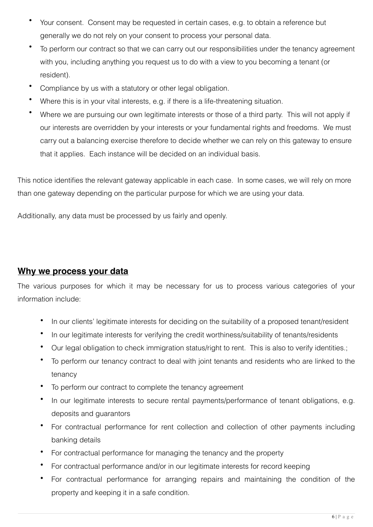- Your consent. Consent may be requested in certain cases, e.g. to obtain a reference but generally we do not rely on your consent to process your personal data.
- To perform our contract so that we can carry out our responsibilities under the tenancy agreement with you, including anything you request us to do with a view to you becoming a tenant (or resident).
- Compliance by us with a statutory or other legal obligation.
- Where this is in your vital interests, e.g. if there is a life-threatening situation.
- Where we are pursuing our own legitimate interests or those of a third party. This will not apply if our interests are overridden by your interests or your fundamental rights and freedoms. We must carry out a balancing exercise therefore to decide whether we can rely on this gateway to ensure that it applies. Each instance will be decided on an individual basis.

This notice identifies the relevant gateway applicable in each case. In some cases, we will rely on more than one gateway depending on the particular purpose for which we are using your data.

Additionally, any data must be processed by us fairly and openly.

#### **Why we process your data**

The various purposes for which it may be necessary for us to process various categories of your information include:

- In our clients' legitimate interests for deciding on the suitability of a proposed tenant/resident
- In our legitimate interests for verifying the credit worthiness/suitability of tenants/residents
- Our legal obligation to check immigration status/right to rent. This is also to verify identities.;
- To perform our tenancy contract to deal with joint tenants and residents who are linked to the tenancy
- To perform our contract to complete the tenancy agreement
- In our legitimate interests to secure rental payments/performance of tenant obligations, e.g. deposits and guarantors
- For contractual performance for rent collection and collection of other payments including banking details
- For contractual performance for managing the tenancy and the property
- For contractual performance and/or in our legitimate interests for record keeping
- For contractual performance for arranging repairs and maintaining the condition of the property and keeping it in a safe condition.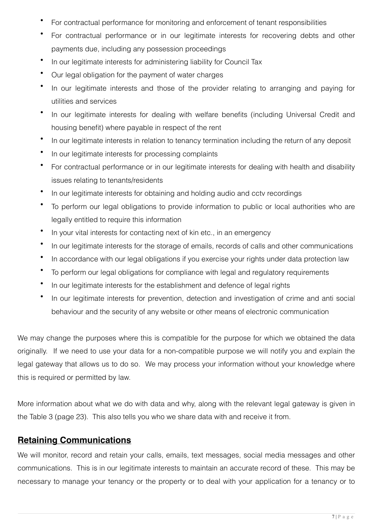- For contractual performance for monitoring and enforcement of tenant responsibilities
- For contractual performance or in our legitimate interests for recovering debts and other payments due, including any possession proceedings
- In our legitimate interests for administering liability for Council Tax
- Our legal obligation for the payment of water charges
- In our legitimate interests and those of the provider relating to arranging and paying for utilities and services
- In our legitimate interests for dealing with welfare benefits (including Universal Credit and housing benefit) where payable in respect of the rent
- In our legitimate interests in relation to tenancy termination including the return of any deposit
- In our legitimate interests for processing complaints
- For contractual performance or in our legitimate interests for dealing with health and disability issues relating to tenants/residents
- In our legitimate interests for obtaining and holding audio and cctv recordings
- To perform our legal obligations to provide information to public or local authorities who are legally entitled to require this information
- In your vital interests for contacting next of kin etc., in an emergency
- In our legitimate interests for the storage of emails, records of calls and other communications
- In accordance with our legal obligations if you exercise your rights under data protection law
- To perform our legal obligations for compliance with legal and regulatory requirements
- In our legitimate interests for the establishment and defence of legal rights
- In our legitimate interests for prevention, detection and investigation of crime and anti social behaviour and the security of any website or other means of electronic communication

We may change the purposes where this is compatible for the purpose for which we obtained the data originally. If we need to use your data for a non-compatible purpose we will notify you and explain the legal gateway that allows us to do so. We may process your information without your knowledge where this is required or permitted by law.

More information about what we do with data and why, along with the relevant legal gateway is given in the Table 3 (page 23). This also tells you who we share data with and receive it from.

## **Retaining Communications**

We will monitor, record and retain your calls, emails, text messages, social media messages and other communications. This is in our legitimate interests to maintain an accurate record of these. This may be necessary to manage your tenancy or the property or to deal with your application for a tenancy or to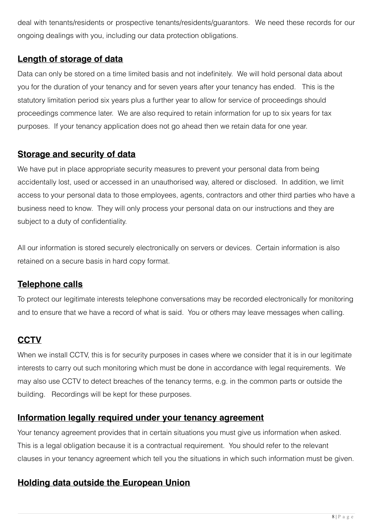deal with tenants/residents or prospective tenants/residents/guarantors. We need these records for our ongoing dealings with you, including our data protection obligations.

## **Length of storage of data**

Data can only be stored on a time limited basis and not indefinitely. We will hold personal data about you for the duration of your tenancy and for seven years after your tenancy has ended. This is the statutory limitation period six years plus a further year to allow for service of proceedings should proceedings commence later. We are also required to retain information for up to six years for tax purposes. If your tenancy application does not go ahead then we retain data for one year.

## **Storage and security of data**

We have put in place appropriate security measures to prevent your personal data from being accidentally lost, used or accessed in an unauthorised way, altered or disclosed. In addition, we limit access to your personal data to those employees, agents, contractors and other third parties who have a business need to know. They will only process your personal data on our instructions and they are subject to a duty of confidentiality.

All our information is stored securely electronically on servers or devices. Certain information is also retained on a secure basis in hard copy format.

## **Telephone calls**

To protect our legitimate interests telephone conversations may be recorded electronically for monitoring and to ensure that we have a record of what is said. You or others may leave messages when calling.

## **CCTV**

When we install CCTV, this is for security purposes in cases where we consider that it is in our legitimate interests to carry out such monitoring which must be done in accordance with legal requirements. We may also use CCTV to detect breaches of the tenancy terms, e.g. in the common parts or outside the building. Recordings will be kept for these purposes.

## **Information legally required under your tenancy agreement**

Your tenancy agreement provides that in certain situations you must give us information when asked. This is a legal obligation because it is a contractual requirement. You should refer to the relevant clauses in your tenancy agreement which tell you the situations in which such information must be given.

## **Holding data outside the European Union**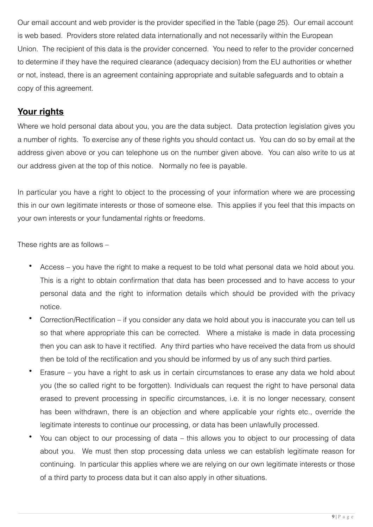Our email account and web provider is the provider specified in the Table (page 25). Our email account is web based. Providers store related data internationally and not necessarily within the European Union. The recipient of this data is the provider concerned. You need to refer to the provider concerned to determine if they have the required clearance (adequacy decision) from the EU authorities or whether or not, instead, there is an agreement containing appropriate and suitable safeguards and to obtain a copy of this agreement.

## **Your rights**

Where we hold personal data about you, you are the data subject. Data protection legislation gives you a number of rights. To exercise any of these rights you should contact us. You can do so by email at the address given above or you can telephone us on the number given above. You can also write to us at our address given at the top of this notice. Normally no fee is payable.

In particular you have a right to object to the processing of your information where we are processing this in our own legitimate interests or those of someone else. This applies if you feel that this impacts on your own interests or your fundamental rights or freedoms.

These rights are as follows –

- Access you have the right to make a request to be told what personal data we hold about you. This is a right to obtain confirmation that data has been processed and to have access to your personal data and the right to information details which should be provided with the privacy notice.
- Correction/Rectification if you consider any data we hold about you is inaccurate you can tell us so that where appropriate this can be corrected. Where a mistake is made in data processing then you can ask to have it rectified. Any third parties who have received the data from us should then be told of the rectification and you should be informed by us of any such third parties.
- Erasure you have a right to ask us in certain circumstances to erase any data we hold about you (the so called right to be forgotten). Individuals can request the right to have personal data erased to prevent processing in specific circumstances, i.e. it is no longer necessary, consent has been withdrawn, there is an objection and where applicable your rights etc., override the legitimate interests to continue our processing, or data has been unlawfully processed.
- You can object to our processing of data this allows you to object to our processing of data about you. We must then stop processing data unless we can establish legitimate reason for continuing. In particular this applies where we are relying on our own legitimate interests or those of a third party to process data but it can also apply in other situations.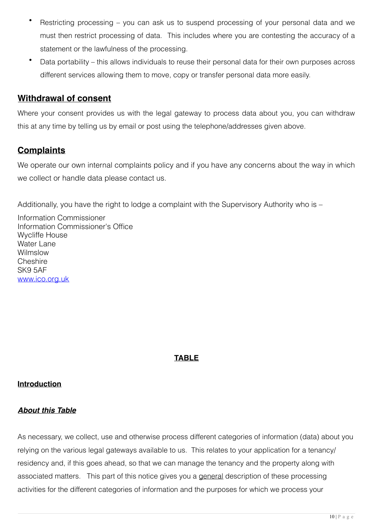- Restricting processing you can ask us to suspend processing of your personal data and we must then restrict processing of data. This includes where you are contesting the accuracy of a statement or the lawfulness of the processing.
- Data portability this allows individuals to reuse their personal data for their own purposes across different services allowing them to move, copy or transfer personal data more easily.

## **Withdrawal of consent**

Where your consent provides us with the legal gateway to process data about you, you can withdraw this at any time by telling us by email or post using the telephone/addresses given above.

## **Complaints**

We operate our own internal complaints policy and if you have any concerns about the way in which we collect or handle data please contact us.

Additionally, you have the right to lodge a complaint with the Supervisory Authority who is –

Information Commissioner Information Commissioner's Office Wycliffe House Water Lane Wilmslow **Cheshire** SK9 5AF [www.ico.org.uk](http://www.ico.org.uk)

#### **TABLE**

#### **Introduction**

#### *About this Table*

As necessary, we collect, use and otherwise process different categories of information (data) about you relying on the various legal gateways available to us. This relates to your application for a tenancy/ residency and, if this goes ahead, so that we can manage the tenancy and the property along with associated matters. This part of this notice gives you a general description of these processing activities for the different categories of information and the purposes for which we process your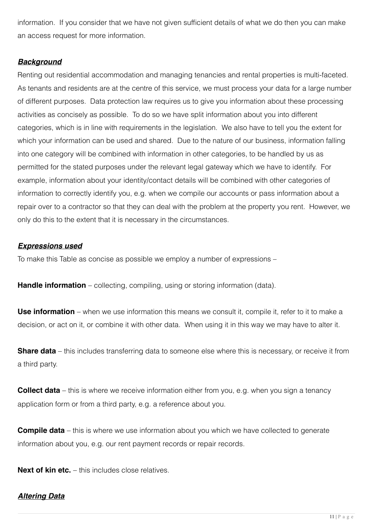information. If you consider that we have not given sufficient details of what we do then you can make an access request for more information.

#### *Background*

Renting out residential accommodation and managing tenancies and rental properties is multi-faceted. As tenants and residents are at the centre of this service, we must process your data for a large number of different purposes. Data protection law requires us to give you information about these processing activities as concisely as possible. To do so we have split information about you into different categories, which is in line with requirements in the legislation. We also have to tell you the extent for which your information can be used and shared. Due to the nature of our business, information falling into one category will be combined with information in other categories, to be handled by us as permitted for the stated purposes under the relevant legal gateway which we have to identify. For example, information about your identity/contact details will be combined with other categories of information to correctly identify you, e.g. when we compile our accounts or pass information about a repair over to a contractor so that they can deal with the problem at the property you rent. However, we only do this to the extent that it is necessary in the circumstances.

#### *Expressions used*

To make this Table as concise as possible we employ a number of expressions –

**Handle information** – collecting, compiling, using or storing information (data).

**Use information** – when we use information this means we consult it, compile it, refer to it to make a decision, or act on it, or combine it with other data. When using it in this way we may have to alter it.

**Share data** – this includes transferring data to someone else where this is necessary, or receive it from a third party.

**Collect data** – this is where we receive information either from you, e.g. when you sign a tenancy application form or from a third party, e.g. a reference about you.

**Compile data** – this is where we use information about you which we have collected to generate information about you, e.g. our rent payment records or repair records.

**Next of kin etc.** – this includes close relatives.

#### *Altering Data*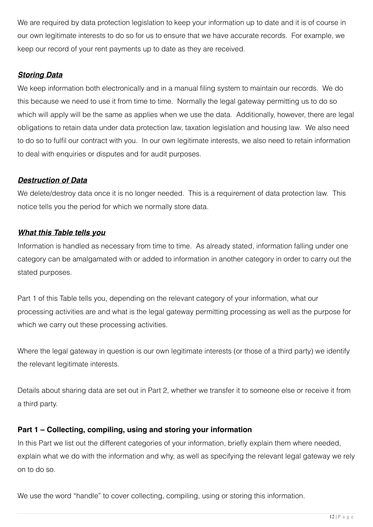We are required by data protection legislation to keep your information up to date and it is of course in our own legitimate interests to do so for us to ensure that we have accurate records. For example, we keep our record of your rent payments up to date as they are received.

#### *Storing Data*

We keep information both electronically and in a manual filing system to maintain our records. We do this because we need to use it from time to time. Normally the legal gateway permitting us to do so which will apply will be the same as applies when we use the data. Additionally, however, there are legal obligations to retain data under data protection law, taxation legislation and housing law. We also need to do so to fulfil our contract with you. In our own legitimate interests, we also need to retain information to deal with enquiries or disputes and for audit purposes.

#### *Destruction of Data*

We delete/destroy data once it is no longer needed. This is a requirement of data protection law. This notice tells you the period for which we normally store data.

#### *What this Table tells you*

Information is handled as necessary from time to time. As already stated, information falling under one category can be amalgamated with or added to information in another category in order to carry out the stated purposes.

Part 1 of this Table tells you, depending on the relevant category of your information, what our processing activities are and what is the legal gateway permitting processing as well as the purpose for which we carry out these processing activities.

Where the legal gateway in question is our own legitimate interests (or those of a third party) we identify the relevant legitimate interests.

Details about sharing data are set out in Part 2, whether we transfer it to someone else or receive it from a third party.

#### **Part 1 – Collecting, compiling, using and storing your information**

In this Part we list out the different categories of your information, briefly explain them where needed, explain what we do with the information and why, as well as specifying the relevant legal gateway we rely on to do so.

We use the word "handle" to cover collecting, compiling, using or storing this information.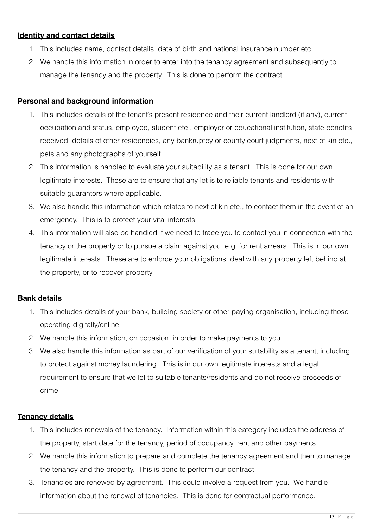#### **Identity and contact details**

- 1. This includes name, contact details, date of birth and national insurance number etc
- 2. We handle this information in order to enter into the tenancy agreement and subsequently to manage the tenancy and the property. This is done to perform the contract.

#### **Personal and background information**

- 1. This includes details of the tenant's present residence and their current landlord (if any), current occupation and status, employed, student etc., employer or educational institution, state benefits received, details of other residencies, any bankruptcy or county court judgments, next of kin etc., pets and any photographs of yourself.
- 2. This information is handled to evaluate your suitability as a tenant. This is done for our own legitimate interests. These are to ensure that any let is to reliable tenants and residents with suitable quarantors where applicable.
- 3. We also handle this information which relates to next of kin etc., to contact them in the event of an emergency. This is to protect your vital interests.
- 4. This information will also be handled if we need to trace you to contact you in connection with the tenancy or the property or to pursue a claim against you, e.g. for rent arrears. This is in our own legitimate interests. These are to enforce your obligations, deal with any property left behind at the property, or to recover property.

#### **Bank details**

- 1. This includes details of your bank, building society or other paying organisation, including those operating digitally/online.
- 2. We handle this information, on occasion, in order to make payments to you.
- 3. We also handle this information as part of our verification of your suitability as a tenant, including to protect against money laundering. This is in our own legitimate interests and a legal requirement to ensure that we let to suitable tenants/residents and do not receive proceeds of crime.

#### **Tenancy details**

- 1. This includes renewals of the tenancy. Information within this category includes the address of the property, start date for the tenancy, period of occupancy, rent and other payments.
- 2. We handle this information to prepare and complete the tenancy agreement and then to manage the tenancy and the property. This is done to perform our contract.
- 3. Tenancies are renewed by agreement. This could involve a request from you. We handle information about the renewal of tenancies. This is done for contractual performance.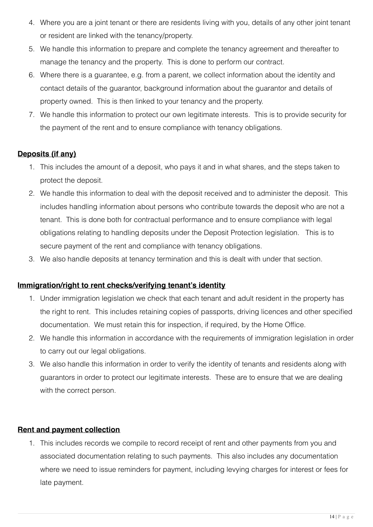- 4. Where you are a joint tenant or there are residents living with you, details of any other joint tenant or resident are linked with the tenancy/property.
- 5. We handle this information to prepare and complete the tenancy agreement and thereafter to manage the tenancy and the property. This is done to perform our contract.
- 6. Where there is a guarantee, e.g. from a parent, we collect information about the identity and contact details of the guarantor, background information about the guarantor and details of property owned. This is then linked to your tenancy and the property.
- 7. We handle this information to protect our own legitimate interests. This is to provide security for the payment of the rent and to ensure compliance with tenancy obligations.

#### **Deposits (if any)**

- 1. This includes the amount of a deposit, who pays it and in what shares, and the steps taken to protect the deposit.
- 2. We handle this information to deal with the deposit received and to administer the deposit. This includes handling information about persons who contribute towards the deposit who are not a tenant. This is done both for contractual performance and to ensure compliance with legal obligations relating to handling deposits under the Deposit Protection legislation. This is to secure payment of the rent and compliance with tenancy obligations.
- 3. We also handle deposits at tenancy termination and this is dealt with under that section.

#### **Immigration/right to rent checks/verifying tenant's identity**

- 1. Under immigration legislation we check that each tenant and adult resident in the property has the right to rent. This includes retaining copies of passports, driving licences and other specified documentation. We must retain this for inspection, if required, by the Home Office.
- 2. We handle this information in accordance with the requirements of immigration legislation in order to carry out our legal obligations.
- 3. We also handle this information in order to verify the identity of tenants and residents along with guarantors in order to protect our legitimate interests. These are to ensure that we are dealing with the correct person.

#### **Rent and payment collection**

1. This includes records we compile to record receipt of rent and other payments from you and associated documentation relating to such payments. This also includes any documentation where we need to issue reminders for payment, including levying charges for interest or fees for late payment.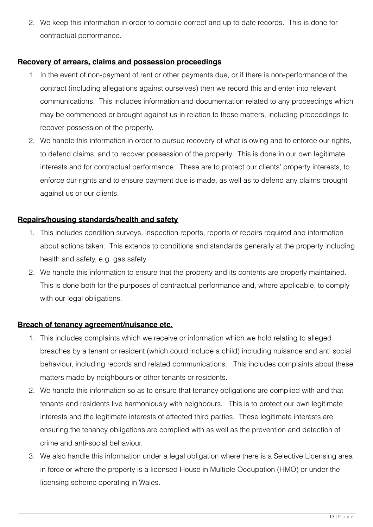2. We keep this information in order to compile correct and up to date records. This is done for contractual performance.

#### **Recovery of arrears, claims and possession proceedings**

- 1. In the event of non-payment of rent or other payments due, or if there is non-performance of the contract (including allegations against ourselves) then we record this and enter into relevant communications. This includes information and documentation related to any proceedings which may be commenced or brought against us in relation to these matters, including proceedings to recover possession of the property.
- 2. We handle this information in order to pursue recovery of what is owing and to enforce our rights, to defend claims, and to recover possession of the property. This is done in our own legitimate interests and for contractual performance. These are to protect our clients' property interests, to enforce our rights and to ensure payment due is made, as well as to defend any claims brought against us or our clients.

#### **Repairs/housing standards/health and safety**

- 1. This includes condition surveys, inspection reports, reports of repairs required and information about actions taken. This extends to conditions and standards generally at the property including health and safety, e.g. gas safety.
- 2. We handle this information to ensure that the property and its contents are properly maintained. This is done both for the purposes of contractual performance and, where applicable, to comply with our legal obligations.

#### **Breach of tenancy agreement/nuisance etc.**

- 1. This includes complaints which we receive or information which we hold relating to alleged breaches by a tenant or resident (which could include a child) including nuisance and anti social behaviour, including records and related communications. This includes complaints about these matters made by neighbours or other tenants or residents.
- 2. We handle this information so as to ensure that tenancy obligations are complied with and that tenants and residents live harmoniously with neighbours. This is to protect our own legitimate interests and the legitimate interests of affected third parties. These legitimate interests are ensuring the tenancy obligations are complied with as well as the prevention and detection of crime and anti-social behaviour.
- 3. We also handle this information under a legal obligation where there is a Selective Licensing area in force or where the property is a licensed House in Multiple Occupation (HMO) or under the licensing scheme operating in Wales.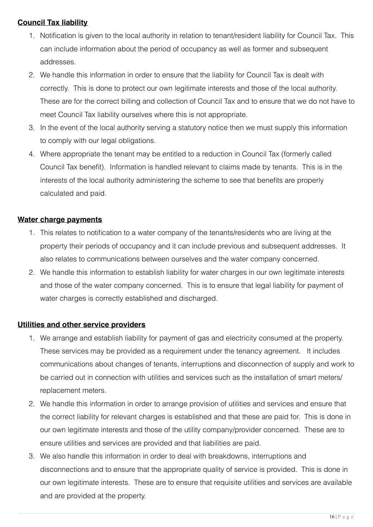#### **Council Tax liability**

- 1. Notification is given to the local authority in relation to tenant/resident liability for Council Tax. This can include information about the period of occupancy as well as former and subsequent addresses.
- 2. We handle this information in order to ensure that the liability for Council Tax is dealt with correctly. This is done to protect our own legitimate interests and those of the local authority. These are for the correct billing and collection of Council Tax and to ensure that we do not have to meet Council Tax liability ourselves where this is not appropriate.
- 3. In the event of the local authority serving a statutory notice then we must supply this information to comply with our legal obligations.
- 4. Where appropriate the tenant may be entitled to a reduction in Council Tax (formerly called Council Tax benefit). Information is handled relevant to claims made by tenants. This is in the interests of the local authority administering the scheme to see that benefits are properly calculated and paid.

#### **Water charge payments**

- 1. This relates to notification to a water company of the tenants/residents who are living at the property their periods of occupancy and it can include previous and subsequent addresses. It also relates to communications between ourselves and the water company concerned.
- 2. We handle this information to establish liability for water charges in our own legitimate interests and those of the water company concerned. This is to ensure that legal liability for payment of water charges is correctly established and discharged.

#### **Utilities and other service providers**

- 1. We arrange and establish liability for payment of gas and electricity consumed at the property. These services may be provided as a requirement under the tenancy agreement. It includes communications about changes of tenants, interruptions and disconnection of supply and work to be carried out in connection with utilities and services such as the installation of smart meters/ replacement meters.
- 2. We handle this information in order to arrange provision of utilities and services and ensure that the correct liability for relevant charges is established and that these are paid for. This is done in our own legitimate interests and those of the utility company/provider concerned. These are to ensure utilities and services are provided and that liabilities are paid.
- 3. We also handle this information in order to deal with breakdowns, interruptions and disconnections and to ensure that the appropriate quality of service is provided. This is done in our own legitimate interests. These are to ensure that requisite utilities and services are available and are provided at the property.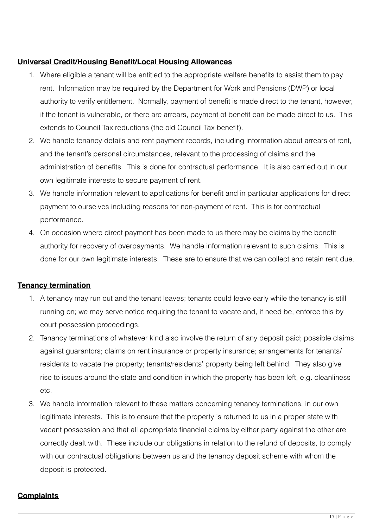#### **Universal Credit/Housing Benefit/Local Housing Allowances**

- 1. Where eligible a tenant will be entitled to the appropriate welfare benefits to assist them to pay rent. Information may be required by the Department for Work and Pensions (DWP) or local authority to verify entitlement. Normally, payment of benefit is made direct to the tenant, however, if the tenant is vulnerable, or there are arrears, payment of benefit can be made direct to us. This extends to Council Tax reductions (the old Council Tax benefit).
- 2. We handle tenancy details and rent payment records, including information about arrears of rent, and the tenant's personal circumstances, relevant to the processing of claims and the administration of benefits. This is done for contractual performance. It is also carried out in our own legitimate interests to secure payment of rent.
- 3. We handle information relevant to applications for benefit and in particular applications for direct payment to ourselves including reasons for non-payment of rent. This is for contractual performance.
- 4. On occasion where direct payment has been made to us there may be claims by the benefit authority for recovery of overpayments. We handle information relevant to such claims. This is done for our own legitimate interests. These are to ensure that we can collect and retain rent due.

#### **Tenancy termination**

- 1. A tenancy may run out and the tenant leaves; tenants could leave early while the tenancy is still running on; we may serve notice requiring the tenant to vacate and, if need be, enforce this by court possession proceedings.
- 2. Tenancy terminations of whatever kind also involve the return of any deposit paid; possible claims against guarantors; claims on rent insurance or property insurance; arrangements for tenants/ residents to vacate the property; tenants/residents' property being left behind. They also give rise to issues around the state and condition in which the property has been left, e.g. cleanliness etc.
- 3. We handle information relevant to these matters concerning tenancy terminations, in our own legitimate interests. This is to ensure that the property is returned to us in a proper state with vacant possession and that all appropriate financial claims by either party against the other are correctly dealt with. These include our obligations in relation to the refund of deposits, to comply with our contractual obligations between us and the tenancy deposit scheme with whom the deposit is protected.

#### **Complaints**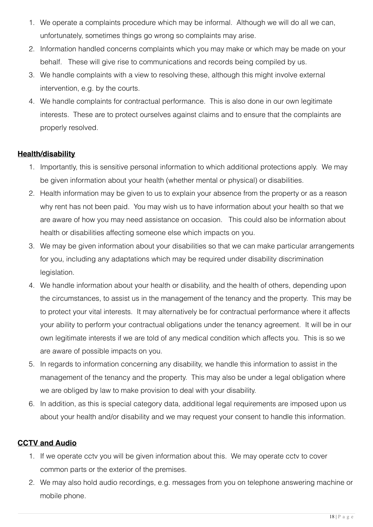- 1. We operate a complaints procedure which may be informal. Although we will do all we can, unfortunately, sometimes things go wrong so complaints may arise.
- 2. Information handled concerns complaints which you may make or which may be made on your behalf. These will give rise to communications and records being compiled by us.
- 3. We handle complaints with a view to resolving these, although this might involve external intervention, e.g. by the courts.
- 4. We handle complaints for contractual performance. This is also done in our own legitimate interests. These are to protect ourselves against claims and to ensure that the complaints are properly resolved.

#### **Health/disability**

- 1. Importantly, this is sensitive personal information to which additional protections apply. We may be given information about your health (whether mental or physical) or disabilities.
- 2. Health information may be given to us to explain your absence from the property or as a reason why rent has not been paid. You may wish us to have information about your health so that we are aware of how you may need assistance on occasion. This could also be information about health or disabilities affecting someone else which impacts on you.
- 3. We may be given information about your disabilities so that we can make particular arrangements for you, including any adaptations which may be required under disability discrimination legislation.
- 4. We handle information about your health or disability, and the health of others, depending upon the circumstances, to assist us in the management of the tenancy and the property. This may be to protect your vital interests. It may alternatively be for contractual performance where it affects your ability to perform your contractual obligations under the tenancy agreement. It will be in our own legitimate interests if we are told of any medical condition which affects you. This is so we are aware of possible impacts on you.
- 5. In regards to information concerning any disability, we handle this information to assist in the management of the tenancy and the property. This may also be under a legal obligation where we are obliged by law to make provision to deal with your disability.
- 6. In addition, as this is special category data, additional legal requirements are imposed upon us about your health and/or disability and we may request your consent to handle this information.

#### **CCTV and Audio**

- 1. If we operate cctv you will be given information about this. We may operate cctv to cover common parts or the exterior of the premises.
- 2. We may also hold audio recordings, e.g. messages from you on telephone answering machine or mobile phone.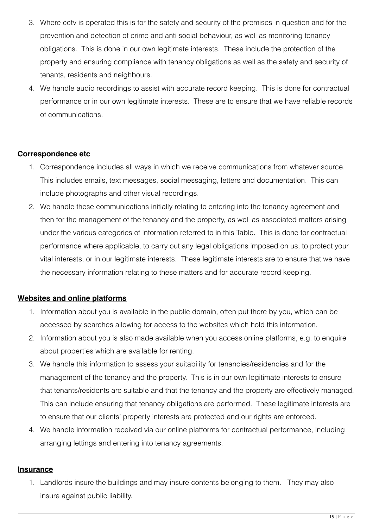- 3. Where cctv is operated this is for the safety and security of the premises in question and for the prevention and detection of crime and anti social behaviour, as well as monitoring tenancy obligations. This is done in our own legitimate interests. These include the protection of the property and ensuring compliance with tenancy obligations as well as the safety and security of tenants, residents and neighbours.
- 4. We handle audio recordings to assist with accurate record keeping. This is done for contractual performance or in our own legitimate interests. These are to ensure that we have reliable records of communications.

#### **Correspondence etc**

- 1. Correspondence includes all ways in which we receive communications from whatever source. This includes emails, text messages, social messaging, letters and documentation. This can include photographs and other visual recordings.
- 2. We handle these communications initially relating to entering into the tenancy agreement and then for the management of the tenancy and the property, as well as associated matters arising under the various categories of information referred to in this Table. This is done for contractual performance where applicable, to carry out any legal obligations imposed on us, to protect your vital interests, or in our legitimate interests. These legitimate interests are to ensure that we have the necessary information relating to these matters and for accurate record keeping.

#### **Websites and online platforms**

- 1. Information about you is available in the public domain, often put there by you, which can be accessed by searches allowing for access to the websites which hold this information.
- 2. Information about you is also made available when you access online platforms, e.g. to enquire about properties which are available for renting.
- 3. We handle this information to assess your suitability for tenancies/residencies and for the management of the tenancy and the property. This is in our own legitimate interests to ensure that tenants/residents are suitable and that the tenancy and the property are effectively managed. This can include ensuring that tenancy obligations are performed. These legitimate interests are to ensure that our clients' property interests are protected and our rights are enforced.
- 4. We handle information received via our online platforms for contractual performance, including arranging lettings and entering into tenancy agreements.

#### **Insurance**

1. Landlords insure the buildings and may insure contents belonging to them. They may also insure against public liability.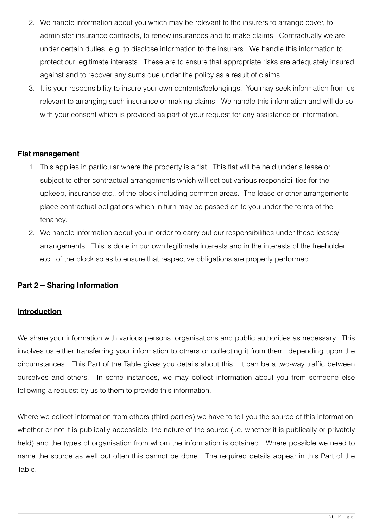- 2. We handle information about you which may be relevant to the insurers to arrange cover, to administer insurance contracts, to renew insurances and to make claims. Contractually we are under certain duties, e.g. to disclose information to the insurers. We handle this information to protect our legitimate interests. These are to ensure that appropriate risks are adequately insured against and to recover any sums due under the policy as a result of claims.
- 3. It is your responsibility to insure your own contents/belongings. You may seek information from us relevant to arranging such insurance or making claims. We handle this information and will do so with your consent which is provided as part of your request for any assistance or information.

#### **Flat management**

- 1. This applies in particular where the property is a flat. This flat will be held under a lease or subject to other contractual arrangements which will set out various responsibilities for the upkeep, insurance etc., of the block including common areas. The lease or other arrangements place contractual obligations which in turn may be passed on to you under the terms of the tenancy.
- 2. We handle information about you in order to carry out our responsibilities under these leases/ arrangements. This is done in our own legitimate interests and in the interests of the freeholder etc., of the block so as to ensure that respective obligations are properly performed.

#### **Part 2 – Sharing Information**

#### **Introduction**

We share your information with various persons, organisations and public authorities as necessary. This involves us either transferring your information to others or collecting it from them, depending upon the circumstances. This Part of the Table gives you details about this. It can be a two-way traffic between ourselves and others. In some instances, we may collect information about you from someone else following a request by us to them to provide this information.

Where we collect information from others (third parties) we have to tell you the source of this information, whether or not it is publically accessible, the nature of the source (i.e. whether it is publically or privately held) and the types of organisation from whom the information is obtained. Where possible we need to name the source as well but often this cannot be done. The required details appear in this Part of the Table.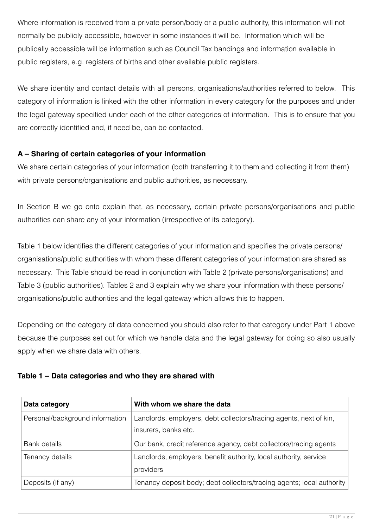Where information is received from a private person/body or a public authority, this information will not normally be publicly accessible, however in some instances it will be. Information which will be publically accessible will be information such as Council Tax bandings and information available in public registers, e.g. registers of births and other available public registers.

We share identity and contact details with all persons, organisations/authorities referred to below. This category of information is linked with the other information in every category for the purposes and under the legal gateway specified under each of the other categories of information. This is to ensure that you are correctly identified and, if need be, can be contacted.

#### **A – Sharing of certain categories of your information**

We share certain categories of your information (both transferring it to them and collecting it from them) with private persons/organisations and public authorities, as necessary.

In Section B we go onto explain that, as necessary, certain private persons/organisations and public authorities can share any of your information (irrespective of its category).

Table 1 below identifies the different categories of your information and specifies the private persons/ organisations/public authorities with whom these different categories of your information are shared as necessary. This Table should be read in conjunction with Table 2 (private persons/organisations) and Table 3 (public authorities). Tables 2 and 3 explain why we share your information with these persons/ organisations/public authorities and the legal gateway which allows this to happen.

Depending on the category of data concerned you should also refer to that category under Part 1 above because the purposes set out for which we handle data and the legal gateway for doing so also usually apply when we share data with others.

#### **Table 1 – Data categories and who they are shared with**

| Data category                   | With whom we share the data                                                                |
|---------------------------------|--------------------------------------------------------------------------------------------|
| Personal/background information | Landlords, employers, debt collectors/tracing agents, next of kin,<br>insurers, banks etc. |
| Bank details                    | Our bank, credit reference agency, debt collectors/tracing agents                          |
| Tenancy details                 | Landlords, employers, benefit authority, local authority, service<br>providers             |
| Deposits (if any)               | Tenancy deposit body; debt collectors/tracing agents; local authority                      |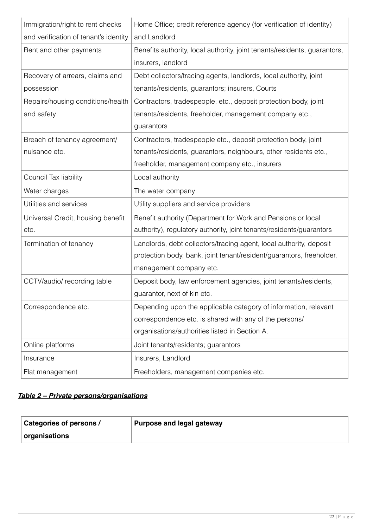| Immigration/right to rent checks      | Home Office; credit reference agency (for verification of identity)       |
|---------------------------------------|---------------------------------------------------------------------------|
| and verification of tenant's identity | and Landlord                                                              |
| Rent and other payments               | Benefits authority, local authority, joint tenants/residents, guarantors, |
|                                       | insurers, landlord                                                        |
| Recovery of arrears, claims and       | Debt collectors/tracing agents, landlords, local authority, joint         |
| possession                            | tenants/residents, guarantors; insurers, Courts                           |
| Repairs/housing conditions/health     | Contractors, tradespeople, etc., deposit protection body, joint           |
| and safety                            | tenants/residents, freeholder, management company etc.,                   |
|                                       | guarantors                                                                |
| Breach of tenancy agreement/          | Contractors, tradespeople etc., deposit protection body, joint            |
| nuisance etc.                         | tenants/residents, guarantors, neighbours, other residents etc.,          |
|                                       | freeholder, management company etc., insurers                             |
| Council Tax liability                 | Local authority                                                           |
| Water charges                         | The water company                                                         |
| Utilities and services                | Utility suppliers and service providers                                   |
| Universal Credit, housing benefit     | Benefit authority (Department for Work and Pensions or local              |
| etc.                                  | authority), regulatory authority, joint tenants/residents/guarantors      |
| Termination of tenancy                | Landlords, debt collectors/tracing agent, local authority, deposit        |
|                                       | protection body, bank, joint tenant/resident/guarantors, freeholder,      |
|                                       | management company etc.                                                   |
| CCTV/audio/ recording table           | Deposit body, law enforcement agencies, joint tenants/residents,          |
|                                       | guarantor, next of kin etc.                                               |
| Correspondence etc.                   | Depending upon the applicable category of information, relevant           |
|                                       | correspondence etc. is shared with any of the persons/                    |
|                                       | organisations/authorities listed in Section A.                            |
| Online platforms                      | Joint tenants/residents; guarantors                                       |
| Insurance                             | Insurers, Landlord                                                        |
| Flat management                       | Freeholders, management companies etc.                                    |

## *Table 2 – Private persons/organisations*

| Categories of persons / | Purpose and legal gateway |
|-------------------------|---------------------------|
| $\mid$ organisations    |                           |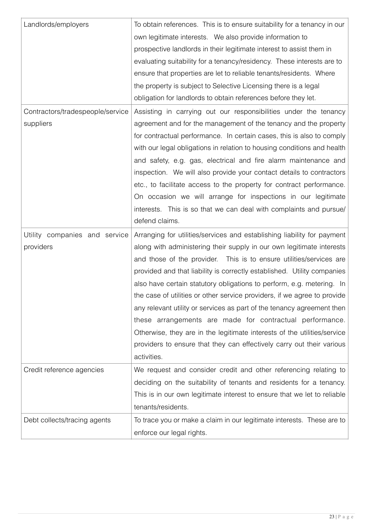| Landlords/employers              | To obtain references. This is to ensure suitability for a tenancy in our |
|----------------------------------|--------------------------------------------------------------------------|
|                                  | own legitimate interests. We also provide information to                 |
|                                  | prospective landlords in their legitimate interest to assist them in     |
|                                  | evaluating suitability for a tenancy/residency. These interests are to   |
|                                  | ensure that properties are let to reliable tenants/residents. Where      |
|                                  | the property is subject to Selective Licensing there is a legal          |
|                                  | obligation for landlords to obtain references before they let.           |
| Contractors/tradespeople/service | Assisting in carrying out our responsibilities under the tenancy         |
| suppliers                        | agreement and for the management of the tenancy and the property         |
|                                  | for contractual performance. In certain cases, this is also to comply    |
|                                  | with our legal obligations in relation to housing conditions and health  |
|                                  | and safety, e.g. gas, electrical and fire alarm maintenance and          |
|                                  | inspection. We will also provide your contact details to contractors     |
|                                  | etc., to facilitate access to the property for contract performance.     |
|                                  | On occasion we will arrange for inspections in our legitimate            |
|                                  | interests. This is so that we can deal with complaints and pursue/       |
|                                  | defend claims.                                                           |
|                                  |                                                                          |
| Utility companies and service    | Arranging for utilities/services and establishing liability for payment  |
| providers                        | along with administering their supply in our own legitimate interests    |
|                                  | and those of the provider. This is to ensure utilities/services are      |
|                                  | provided and that liability is correctly established. Utility companies  |
|                                  | also have certain statutory obligations to perform, e.g. metering. In    |
|                                  | the case of utilities or other service providers, if we agree to provide |
|                                  | any relevant utility or services as part of the tenancy agreement then   |
|                                  | these arrangements are made for contractual performance.                 |
|                                  | Otherwise, they are in the legitimate interests of the utilities/service |
|                                  | providers to ensure that they can effectively carry out their various    |
|                                  | activities.                                                              |
| Credit reference agencies        | We request and consider credit and other referencing relating to         |
|                                  | deciding on the suitability of tenants and residents for a tenancy.      |
|                                  | This is in our own legitimate interest to ensure that we let to reliable |
|                                  | tenants/residents.                                                       |
| Debt collects/tracing agents     | To trace you or make a claim in our legitimate interests. These are to   |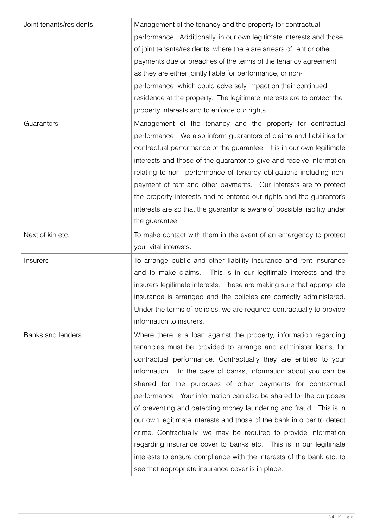| Joint tenants/residents | Management of the tenancy and the property for contractual               |
|-------------------------|--------------------------------------------------------------------------|
|                         | performance. Additionally, in our own legitimate interests and those     |
|                         | of joint tenants/residents, where there are arrears of rent or other     |
|                         | payments due or breaches of the terms of the tenancy agreement           |
|                         | as they are either jointly liable for performance, or non-               |
|                         | performance, which could adversely impact on their continued             |
|                         | residence at the property. The legitimate interests are to protect the   |
|                         | property interests and to enforce our rights.                            |
| Guarantors              | Management of the tenancy and the property for contractual               |
|                         | performance. We also inform guarantors of claims and liabilities for     |
|                         | contractual performance of the guarantee. It is in our own legitimate    |
|                         | interests and those of the guarantor to give and receive information     |
|                         | relating to non- performance of tenancy obligations including non-       |
|                         | payment of rent and other payments. Our interests are to protect         |
|                         | the property interests and to enforce our rights and the guarantor's     |
|                         | interests are so that the guarantor is aware of possible liability under |
|                         | the guarantee.                                                           |
| Next of kin etc.        | To make contact with them in the event of an emergency to protect        |
|                         | your vital interests.                                                    |
| Insurers                | To arrange public and other liability insurance and rent insurance       |
|                         | and to make claims.<br>This is in our legitimate interests and the       |
|                         | insurers legitimate interests. These are making sure that appropriate    |
|                         | insurance is arranged and the policies are correctly administered.       |
|                         | Under the terms of policies, we are required contractually to provide    |
|                         | information to insurers.                                                 |
| Banks and lenders       | Where there is a loan against the property, information regarding        |
|                         | tenancies must be provided to arrange and administer loans; for          |
|                         | contractual performance. Contractually they are entitled to your         |
|                         | information. In the case of banks, information about you can be          |
|                         | shared for the purposes of other payments for contractual                |
|                         | performance. Your information can also be shared for the purposes        |
|                         | of preventing and detecting money laundering and fraud. This is in       |
|                         | our own legitimate interests and those of the bank in order to detect    |
|                         | crime. Contractually, we may be required to provide information          |
|                         | regarding insurance cover to banks etc. This is in our legitimate        |
|                         | interests to ensure compliance with the interests of the bank etc. to    |
|                         | see that appropriate insurance cover is in place.                        |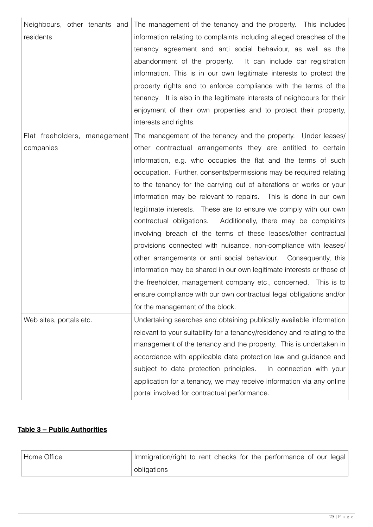| Neighbours, other tenants and | The management of the tenancy and the property. This includes            |
|-------------------------------|--------------------------------------------------------------------------|
| residents                     | information relating to complaints including alleged breaches of the     |
|                               | tenancy agreement and anti social behaviour, as well as the              |
|                               | abandonment of the property.<br>It can include car registration          |
|                               | information. This is in our own legitimate interests to protect the      |
|                               | property rights and to enforce compliance with the terms of the          |
|                               | tenancy. It is also in the legitimate interests of neighbours for their  |
|                               | enjoyment of their own properties and to protect their property,         |
|                               | interests and rights.                                                    |
| Flat freeholders, management  | The management of the tenancy and the property. Under leases/            |
| companies                     | other contractual arrangements they are entitled to certain              |
|                               | information, e.g. who occupies the flat and the terms of such            |
|                               | occupation. Further, consents/permissions may be required relating       |
|                               | to the tenancy for the carrying out of alterations or works or your      |
|                               | information may be relevant to repairs. This is done in our own          |
|                               | legitimate interests. These are to ensure we comply with our own         |
|                               | contractual obligations. Additionally, there may be complaints           |
|                               | involving breach of the terms of these leases/other contractual          |
|                               | provisions connected with nuisance, non-compliance with leases/          |
|                               | other arrangements or anti social behaviour. Consequently, this          |
|                               | information may be shared in our own legitimate interests or those of    |
|                               | the freeholder, management company etc., concerned. This is to           |
|                               | ensure compliance with our own contractual legal obligations and/or      |
|                               | for the management of the block.                                         |
| Web sites, portals etc.       | Undertaking searches and obtaining publically available information      |
|                               | relevant to your suitability for a tenancy/residency and relating to the |
|                               | management of the tenancy and the property. This is undertaken in        |
|                               | accordance with applicable data protection law and guidance and          |
|                               | subject to data protection principles.<br>In connection with your        |
|                               | application for a tenancy, we may receive information via any online     |
|                               | portal involved for contractual performance.                             |

## **Table 3 – Public Authorities**

| Home Office | Immigration/right to rent checks for the performance of our legal |
|-------------|-------------------------------------------------------------------|
|             | obligations                                                       |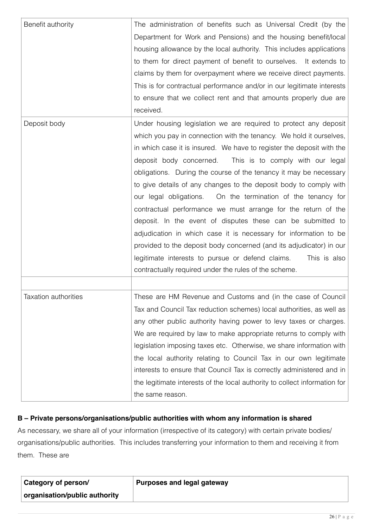| Benefit authority    | The administration of benefits such as Universal Credit (by the<br>Department for Work and Pensions) and the housing benefit/local<br>housing allowance by the local authority. This includes applications<br>to them for direct payment of benefit to ourselves. It extends to<br>claims by them for overpayment where we receive direct payments.<br>This is for contractual performance and/or in our legitimate interests<br>to ensure that we collect rent and that amounts properly due are<br>received.                                                                                                                                                                                                                                                                                                                                                                                    |
|----------------------|---------------------------------------------------------------------------------------------------------------------------------------------------------------------------------------------------------------------------------------------------------------------------------------------------------------------------------------------------------------------------------------------------------------------------------------------------------------------------------------------------------------------------------------------------------------------------------------------------------------------------------------------------------------------------------------------------------------------------------------------------------------------------------------------------------------------------------------------------------------------------------------------------|
| Deposit body         | Under housing legislation we are required to protect any deposit<br>which you pay in connection with the tenancy. We hold it ourselves,<br>in which case it is insured. We have to register the deposit with the<br>deposit body concerned.<br>This is to comply with our legal<br>obligations. During the course of the tenancy it may be necessary<br>to give details of any changes to the deposit body to comply with<br>our legal obligations. On the termination of the tenancy for<br>contractual performance we must arrange for the return of the<br>deposit. In the event of disputes these can be submitted to<br>adjudication in which case it is necessary for information to be<br>provided to the deposit body concerned (and its adjudicator) in our<br>legitimate interests to pursue or defend claims.<br>This is also<br>contractually required under the rules of the scheme. |
| Taxation authorities | These are HM Revenue and Customs and (in the case of Council<br>Tax and Council Tax reduction schemes) local authorities, as well as<br>any other public authority having power to levy taxes or charges.<br>We are required by law to make appropriate returns to comply with<br>legislation imposing taxes etc. Otherwise, we share information with<br>the local authority relating to Council Tax in our own legitimate<br>interests to ensure that Council Tax is correctly administered and in<br>the legitimate interests of the local authority to collect information for<br>the same reason.                                                                                                                                                                                                                                                                                            |

#### **B – Private persons/organisations/public authorities with whom any information is shared**

As necessary, we share all of your information (irrespective of its category) with certain private bodies/ organisations/public authorities. This includes transferring your information to them and receiving it from them. These are

| <b>Category of person/</b>    | <b>Purposes and legal gateway</b> |
|-------------------------------|-----------------------------------|
| organisation/public authority |                                   |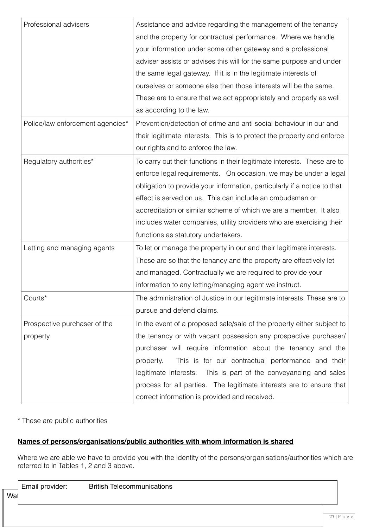| Professional advisers            | Assistance and advice regarding the management of the tenancy            |
|----------------------------------|--------------------------------------------------------------------------|
|                                  | and the property for contractual performance. Where we handle            |
|                                  | your information under some other gateway and a professional             |
|                                  | adviser assists or advises this will for the same purpose and under      |
|                                  | the same legal gateway. If it is in the legitimate interests of          |
|                                  | ourselves or someone else then those interests will be the same.         |
|                                  | These are to ensure that we act appropriately and properly as well       |
|                                  | as according to the law.                                                 |
| Police/law enforcement agencies* | Prevention/detection of crime and anti social behaviour in our and       |
|                                  | their legitimate interests. This is to protect the property and enforce  |
|                                  | our rights and to enforce the law.                                       |
| Regulatory authorities*          | To carry out their functions in their legitimate interests. These are to |
|                                  | enforce legal requirements. On occasion, we may be under a legal         |
|                                  | obligation to provide your information, particularly if a notice to that |
|                                  | effect is served on us. This can include an ombudsman or                 |
|                                  | accreditation or similar scheme of which we are a member. It also        |
|                                  | includes water companies, utility providers who are exercising their     |
|                                  | functions as statutory undertakers.                                      |
| Letting and managing agents      | To let or manage the property in our and their legitimate interests.     |
|                                  | These are so that the tenancy and the property are effectively let       |
|                                  | and managed. Contractually we are required to provide your               |
|                                  | information to any letting/managing agent we instruct.                   |
| Courts*                          | The administration of Justice in our legitimate interests. These are to  |
|                                  | pursue and defend claims.                                                |
| Prospective purchaser of the     | In the event of a proposed sale/sale of the property either subject to   |
| property                         | the tenancy or with vacant possession any prospective purchaser/         |
|                                  | purchaser will require information about the tenancy and the             |
|                                  | This is for our contractual performance and their<br>property.           |
|                                  | legitimate interests.<br>This is part of the conveyancing and sales      |
|                                  | process for all parties. The legitimate interests are to ensure that     |
|                                  | correct information is provided and received.                            |

#### \* These are public authorities

#### **Names of persons/organisations/public authorities with whom information is shared**

Where we are able we have to provide you with the identity of the persons/organisations/authorities which are referred to in Tables 1, 2 and 3 above.

| the contract of the contract of | Email provider: | <b>British Telecommunications</b> |
|---------------------------------|-----------------|-----------------------------------|
| .                               |                 |                                   |

Wat